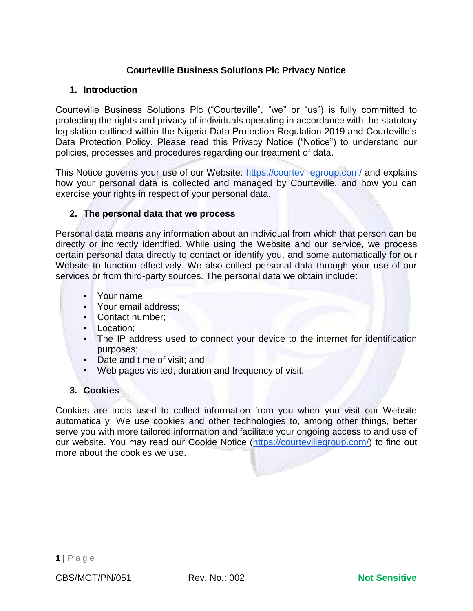# **Courteville Business Solutions Plc Privacy Notice**

### **1. Introduction**

Courteville Business Solutions Plc ("Courteville", "we" or "us") is fully committed to protecting the rights and privacy of individuals operating in accordance with the statutory legislation outlined within the Nigeria Data Protection Regulation 2019 and Courteville's Data Protection Policy. Please read this Privacy Notice ("Notice") to understand our policies, processes and procedures regarding our treatment of data.

This Notice governs your use of our Website:<https://courtevillegroup.com/> and explains how your personal data is collected and managed by Courteville, and how you can exercise your rights in respect of your personal data.

### **2. The personal data that we process**

Personal data means any information about an individual from which that person can be directly or indirectly identified. While using the Website and our service, we process certain personal data directly to contact or identify you, and some automatically for our Website to function effectively. We also collect personal data through your use of our services or from third-party sources. The personal data we obtain include:

- Your name;
- Your email address;
- Contact number;
- Location;
- The IP address used to connect your device to the internet for identification purposes;
- Date and time of visit; and
- Web pages visited, duration and frequency of visit.

## **3. Cookies**

Cookies are tools used to collect information from you when you visit our Website automatically. We use cookies and other technologies to, among other things, better serve you with more tailored information and facilitate your ongoing access to and use of our website. You may read our Cookie Notice [\(https://courtevillegroup.com/\)](https://courtevillegroup.com/) to find out more about the cookies we use.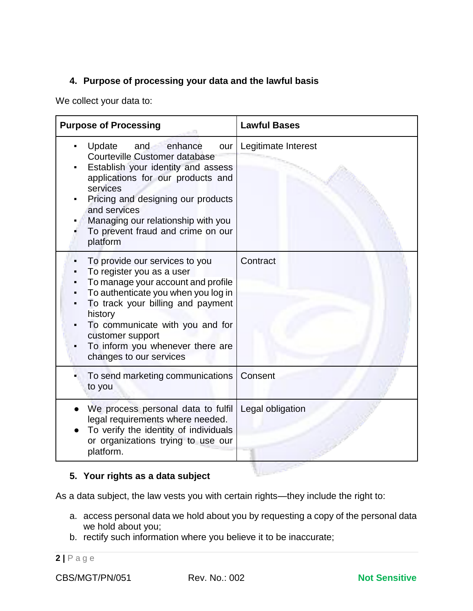# **4. Purpose of processing your data and the lawful basis**

We collect your data to:

| <b>Purpose of Processing</b>                                                                                                                                                                                                                                                                                   | <b>Lawful Bases</b> |
|----------------------------------------------------------------------------------------------------------------------------------------------------------------------------------------------------------------------------------------------------------------------------------------------------------------|---------------------|
| Update and<br>enhance<br>our<br><b>Courteville Customer database</b><br>Establish your identity and assess<br>applications for our products and<br>services<br>Pricing and designing our products<br>and services<br>Managing our relationship with you<br>To prevent fraud and crime on our<br>platform       | Legitimate Interest |
| To provide our services to you<br>To register you as a user<br>To manage your account and profile<br>To authenticate you when you log in<br>To track your billing and payment<br>history<br>To communicate with you and for<br>customer support<br>To inform you whenever there are<br>changes to our services | Contract            |
| To send marketing communications<br>to you                                                                                                                                                                                                                                                                     | Consent             |
| We process personal data to fulfil<br>legal requirements where needed.<br>To verify the identity of individuals<br>or organizations trying to use our<br>platform.                                                                                                                                             | Legal obligation    |

# **5. Your rights as a data subject**

As a data subject, the law vests you with certain rights—they include the right to:

- a. access personal data we hold about you by requesting a copy of the personal data we hold about you;
- b. rectify such information where you believe it to be inaccurate;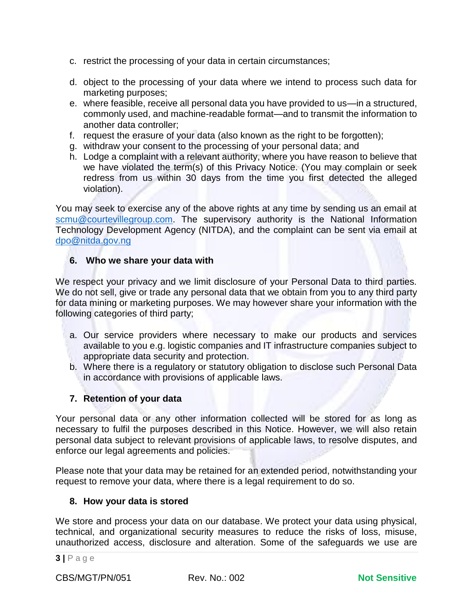- c. restrict the processing of your data in certain circumstances;
- d. object to the processing of your data where we intend to process such data for marketing purposes;
- e. where feasible, receive all personal data you have provided to us—in a structured, commonly used, and machine-readable format—and to transmit the information to another data controller;
- f. request the erasure of your data (also known as the right to be forgotten);
- g. withdraw your consent to the processing of your personal data; and
- h. Lodge a complaint with a relevant authority, where you have reason to believe that we have violated the term(s) of this Privacy Notice. (You may complain or seek redress from us within 30 days from the time you first detected the alleged violation).

You may seek to exercise any of the above rights at any time by sending us an email at [scmu@courtevillegroup.com.](mailto:scmu@courtevillegroup.com) The supervisory authority is the National Information Technology Development Agency (NITDA), and the complaint can be sent via email at [dpo@nitda.gov.ng](mailto:dpo@nitda.gov.ng)

# **6. Who we share your data with**

We respect your privacy and we limit disclosure of your Personal Data to third parties. We do not sell, give or trade any personal data that we obtain from you to any third party for data mining or marketing purposes. We may however share your information with the following categories of third party;

- a. Our service providers where necessary to make our products and services available to you e.g. logistic companies and IT infrastructure companies subject to appropriate data security and protection.
- b. Where there is a regulatory or statutory obligation to disclose such Personal Data in accordance with provisions of applicable laws.

# **7. Retention of your data**

Your personal data or any other information collected will be stored for as long as necessary to fulfil the purposes described in this Notice. However, we will also retain personal data subject to relevant provisions of applicable laws, to resolve disputes, and enforce our legal agreements and policies.

Please note that your data may be retained for an extended period, notwithstanding your request to remove your data, where there is a legal requirement to do so.

## **8. How your data is stored**

We store and process your data on our database. We protect your data using physical, technical, and organizational security measures to reduce the risks of loss, misuse, unauthorized access, disclosure and alteration. Some of the safeguards we use are

CBS/MGT/PN/051 Rev. No.: 002 **Not Sensitive**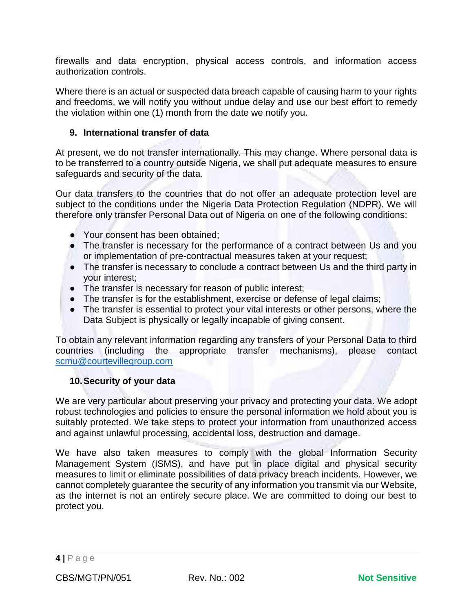firewalls and data encryption, physical access controls, and information access authorization controls.

Where there is an actual or suspected data breach capable of causing harm to your rights and freedoms, we will notify you without undue delay and use our best effort to remedy the violation within one (1) month from the date we notify you.

### **9. International transfer of data**

At present, we do not transfer internationally. This may change. Where personal data is to be transferred to a country outside Nigeria, we shall put adequate measures to ensure safeguards and security of the data.

Our data transfers to the countries that do not offer an adequate protection level are subject to the conditions under the Nigeria Data Protection Regulation (NDPR). We will therefore only transfer Personal Data out of Nigeria on one of the following conditions:

- Your consent has been obtained;
- The transfer is necessary for the performance of a contract between Us and you or implementation of pre-contractual measures taken at your request;
- The transfer is necessary to conclude a contract between Us and the third party in your interest;
- The transfer is necessary for reason of public interest;
- The transfer is for the establishment, exercise or defense of legal claims;
- The transfer is essential to protect your vital interests or other persons, where the Data Subject is physically or legally incapable of giving consent.

To obtain any relevant information regarding any transfers of your Personal Data to third countries (including the appropriate transfer mechanisms), please contact [scmu@courtevillegroup.com](mailto:scmu@courtevillegroup.com)

#### **10.Security of your data**

We are very particular about preserving your privacy and protecting your data. We adopt robust technologies and policies to ensure the personal information we hold about you is suitably protected. We take steps to protect your information from unauthorized access and against unlawful processing, accidental loss, destruction and damage.

We have also taken measures to comply with the global Information Security Management System (ISMS), and have put in place digital and physical security measures to limit or eliminate possibilities of data privacy breach incidents. However, we cannot completely guarantee the security of any information you transmit via our Website, as the internet is not an entirely secure place. We are committed to doing our best to protect you.